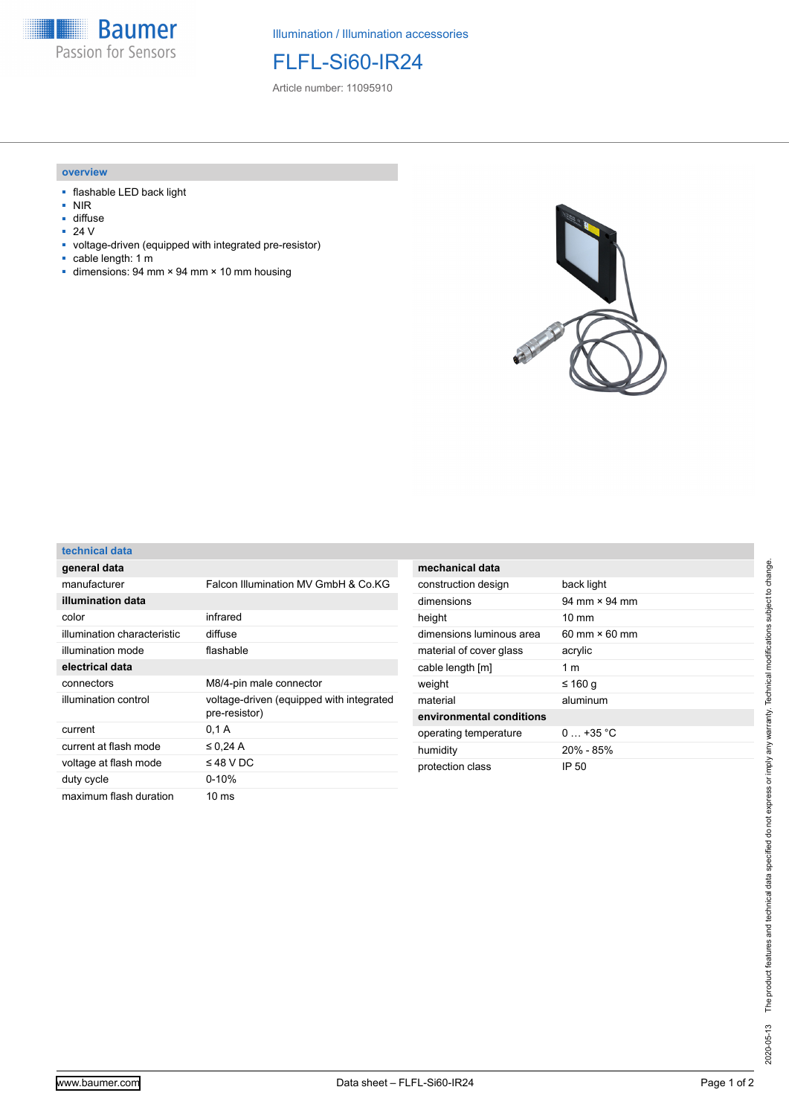

Illumination / Illumination accessories

FLFL-Si60-IR24

Article number: 11095910

## **overview**

- flashable LED back light
- NIR
- diffuse<br>■ 24  $V$
- 24 V
- voltage-driven (equipped with integrated pre-resistor)
- cable length: 1 m
- $\blacksquare$  dimensions: 94 mm × 94 mm × 10 mm housing



| technical data |  |
|----------------|--|
| cteh Ieranga   |  |

| general data                |                                                           |
|-----------------------------|-----------------------------------------------------------|
| manufacturer                | Falcon Illumination MV GmbH & Co KG                       |
| illumination data           |                                                           |
| color                       | infrared                                                  |
| illumination characteristic | diffuse                                                   |
| illumination mode           | flashable                                                 |
| electrical data             |                                                           |
| connectors                  | M8/4-pin male connector                                   |
| illumination control        | voltage-driven (equipped with integrated<br>pre-resistor) |
| current                     | 0,1 A                                                     |
| current at flash mode       | $\leq$ 0.24 A                                             |
| voltage at flash mode       | $\leq$ 48 V DC                                            |
| duty cycle                  | $0 - 10%$                                                 |
| maximum flash duration      | 10 ms                                                     |

| mechanical data          |                                      |
|--------------------------|--------------------------------------|
| construction design      | back light                           |
| dimensions               | $94 \text{ mm} \times 94 \text{ mm}$ |
| height                   | $10 \text{ mm}$                      |
| dimensions luminous area | $60 \text{ mm} \times 60 \text{ mm}$ |
| material of cover glass  | acrylic                              |
| cable length [m]         | 1 m                                  |
| weight                   | ≤ 160 g                              |
| material                 | aluminum                             |
| environmental conditions |                                      |
| operating temperature    | $0+35 °C$                            |
| humidity                 | $20\% - 85\%$                        |
| protection class         | IP 50                                |